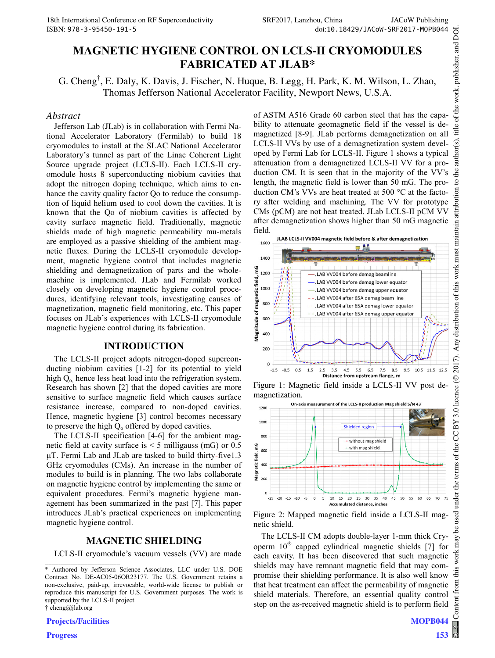# **MAGNETIC HYGIENE CONTROL ON LCLS-II CRYOMODULES FABRICATED AT JLAB\***

G. Cheng† , E. Daly, K. Davis, J. Fischer, N. Huque, B. Legg, H. Park, K. M. Wilson, L. Zhao, Thomas Jefferson National Accelerator Facility, Newport News, U.S.A.

#### *Abstract*

Jefferson Lab (JLab) is in collaboration with Fermi National Accelerator Laboratory (Fermilab) to build 18 cryomodules to install at the SLAC National Accelerator Laboratory's tunnel as part of the Linac Coherent Light Source upgrade project (LCLS-II). Each LCLS-II cryomodule hosts 8 superconducting niobium cavities that adopt the nitrogen doping technique, which aims to enhance the cavity quality factor Qo to reduce the consumption of liquid helium used to cool down the cavities. It is known that the Qo of niobium cavities is affected by cavity surface magnetic field. Traditionally, magnetic shields made of high magnetic permeability mu-metals are employed as a passive shielding of the ambient magnetic fluxes. During the LCLS-II cryomodule development, magnetic hygiene control that includes magnetic shielding and demagnetization of parts and the wholemachine is implemented. JLab and Fermilab worked closely on developing magnetic hygiene control procedures, identifying relevant tools, investigating causes of magnetization, magnetic field monitoring, etc. This paper focuses on JLab's experiences with LCLS-II cryomodule magnetic hygiene control during its fabrication.

#### **INTRODUCTION**

The LCLS-II project adopts nitrogen-doped superconducting niobium cavities [1-2] for its potential to yield high  $Q_0$  hence less heat load into the refrigeration system. Research has shown [2] that the doped cavities are more sensitive to surface magnetic field which causes surface resistance increase, compared to non-doped cavities. Hence, magnetic hygiene [3] control becomes necessary to preserve the high  $Q_0$  offered by doped cavities.

The LCLS-II specification [4-6] for the ambient magnetic field at cavity surface is < 5 milligauss (mG) or 0.5  $\mu$ T. Fermi Lab and JLab are tasked to build thirty-five1.3 GHz cryomodules (CMs). An increase in the number of modules to build is in planning. The two labs collaborate on magnetic hygiene control by implementing the same or equivalent procedures. Fermi's magnetic hygiene management has been summarized in the past [7]. This paper introduces JLab's practical experiences on implementing magnetic hygiene control.

#### **MAGNETIC SHIELDING**

LCLS-II cryomodule's vacuum vessels (VV) are made

† cheng@jlab.org

**Projects/Facilities**

\_\_\_\_\_\_\_\_\_\_\_\_\_\_\_\_\_\_\_\_\_\_\_\_\_\_\_\_\_\_\_\_\_\_\_\_\_\_\_\_\_\_\_\_

**Progress**

of ASTM A516 Grade 60 carbon steel that has the capability to attenuate geomagnetic field if the vessel is demagnetized [8-9]. JLab performs demagnetization on all LCLS-II VVs by use of a demagnetization system developed by Fermi Lab for LCLS-II. Figure 1 shows a typical attenuation from a demagnetized LCLS-II VV for a production CM. It is seen that in the majority of the VV's length, the magnetic field is lower than 50 mG. The production CM's VVs are heat treated at 500  $^{\circ}$ C at the factory after welding and machining. The VV for prototype CMs (pCM) are not heat treated. JLab LCLS-II pCM VV after demagnetization shows higher than 50 mG magnetic field.



Figure 1: Magnetic field inside a LCLS-II VV post demagnetization.



Figure 2: Mapped magnetic field inside a LCLS-II magnetic shield.

The LCLS-II CM adopts double-layer 1-mm thick Cryoperm 10 capped cylindrical magnetic shields [7] for each cavity. It has been discovered that such magnetic shields may have remnant magnetic field that may compromise their shielding performance. It is also well know that heat treatment can affect the permeability of magnetic shield materials. Therefore, an essential quality control step on the as-received magnetic shield is to perform field

**MOPB044**

**153**

<sup>\*</sup> Authored by Jefferson Science Associates, LLC under U.S. DOE Contract No. DE-AC05-06OR23177. The U.S. Government retains a non-exclusive, paid-up, irrevocable, world-wide license to publish or reproduce this manuscript for U.S. Government purposes. The work is supported by the LCLS-II project.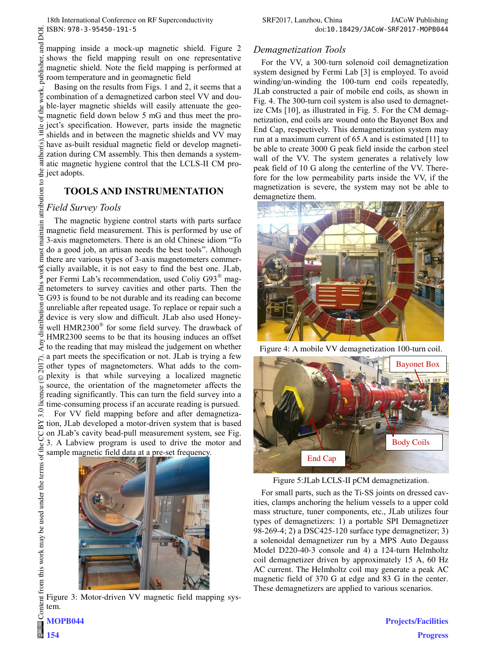mapping inside a mock-up magnetic shield. Figure 2 shows the field mapping result on one representative magnetic shield. Note the field mapping is performed at room temperature and in geomagnetic field

Basing on the results from Figs. 1 and 2, it seems that a combination of a demagnetized carbon steel VV and double-layer magnetic shields will easily attenuate the geomagnetic field down below 5 mG and thus meet the project's specification. However, parts inside the magnetic shields and in between the magnetic shields and VV may have as-built residual magnetic field or develop magnetization during CM assembly. This then demands a systematic magnetic hygiene control that the LCLS-II CM project adopts.

### **TOOLS AND INSTRUMENTATION**

### *Field Survey Tools*

The magnetic hygiene control starts with parts surface magnetic field measurement. This is performed by use of 3-axis magnetometers. There is an old Chinese idiom "To do a good job, an artisan needs the best tools". Although there are various types of 3-axis magnetometers commercially available, it is not easy to find the best one. JLab, per Fermi Lab's recommendation, used Coliy G93<sup>®</sup> magnetometers to survey cavities and other parts. Then the G93 is found to be not durable and its reading can become unreliable after repeated usage. To replace or repair such a device is very slow and difficult. JLab also used Honeywell HMR2300<sup>®</sup> for some field survey. The drawback of HMR2300 seems to be that its housing induces an offset to the reading that may mislead the judgement on whether a part meets the specification or not. JLab is trying a few other types of magnetometers. What adds to the complexity is that while surveying a localized magnetic source, the orientation of the magnetometer affects the reading significantly. This can turn the field survey into a time-consuming process if an accurate reading is pursued. For VV field mapping before and after demagnetiza-

tion, JLab developed a motor-driven system that is based on JLab's cavity bead-pull measurement system, see Fig. 3. A Labview program is used to drive the motor and sample magnetic field data at a pre-set frequency.



Figure 3: Motor-driven VV magnetic field mapping system.

For the VV, a 300-turn solenoid coil demagnetization system designed by Fermi Lab [3] is employed. To avoid winding/un-winding the 100-turn end coils repeatedly, JLab constructed a pair of mobile end coils, as shown in Fig. 4. The 300-turn coil system is also used to demagnetize CMs [10], as illustrated in Fig. 5. For the CM demagnetization, end coils are wound onto the Bayonet Box and End Cap, respectively. This demagnetization system may run at a maximum current of 65 A and is estimated [11] to be able to create 3000 G peak field inside the carbon steel wall of the VV. The system generates a relatively low peak field of 10 G along the centerline of the VV. Therefore for the low permeability parts inside the VV, if the magnetization is severe, the system may not be able to demagnetize them.



Figure 4: A mobile VV demagnetization 100-turn coil.



Figure 5:JLab LCLS-II pCM demagnetization.

For small parts, such as the Ti-SS joints on dressed cavities, clamps anchoring the helium vessels to a upper cold mass structure, tuner components, etc., JLab utilizes four types of demagnetizers: 1) a portable SPI Demagnetizer 98-269-4; 2) a DSC425-120 surface type demagnetizer; 3) a solenoidal demagnetizer run by a MPS Auto Degauss Model D220-40-3 console and 4) a 124-turn Helmholtz coil demagnetizer driven by approximately 15 A, 60 Hz AC current. The Helmholtz coil may generate a peak AC magnetic field of 370 G at edge and 83 G in the center. These demagnetizers are applied to various scenarios.

**MOPB044**

**154**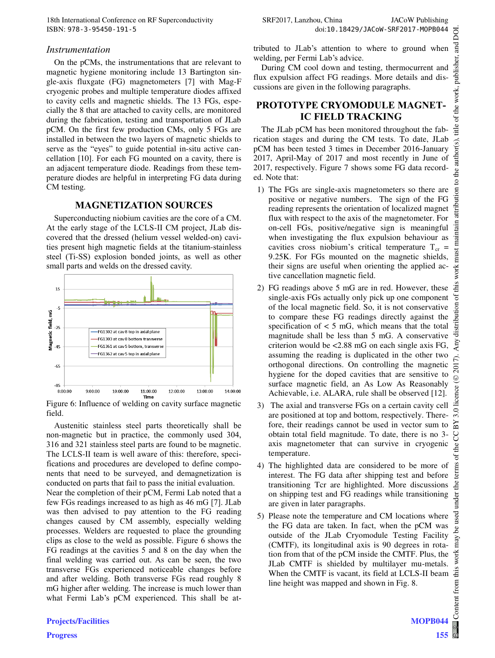### *Instrumentation*

On the pCMs, the instrumentations that are relevant to magnetic hygiene monitoring include 13 Bartington single-axis fluxgate (FG) magnetometers [7] with Mag-F cryogenic probes and multiple temperature diodes affixed to cavity cells and magnetic shields. The 13 FGs, especially the 8 that are attached to cavity cells, are monitored during the fabrication, testing and transportation of JLab pCM. On the first few production CMs, only 5 FGs are installed in between the two layers of magnetic shields to serve as the "eyes" to guide potential in-situ active cancellation [10]. For each FG mounted on a cavity, there is an adjacent temperature diode. Readings from these temperature diodes are helpful in interpreting FG data during CM testing.

### **MAGNETIZATION SOURCES**

Superconducting niobium cavities are the core of a CM. At the early stage of the LCLS-II CM project, JLab discovered that the dressed (helium vessel welded-on) cavities present high magnetic fields at the titanium-stainless steel (Ti-SS) explosion bonded joints, as well as other small parts and welds on the dressed cavity.



Figure 6: Influence of welding on cavity surface magnetic field.

Austenitic stainless steel parts theoretically shall be non-magnetic but in practice, the commonly used 304, 316 and 321 stainless steel parts are found to be magnetic. The LCLS-II team is well aware of this: therefore, specifications and procedures are developed to define components that need to be surveyed, and demagnetization is conducted on parts that fail to pass the initial evaluation.

Near the completion of their pCM, Fermi Lab noted that a few FGs readings increased to as high as 46 mG [7]. JLab was then advised to pay attention to the FG reading changes caused by CM assembly, especially welding processes. Welders are requested to place the grounding clips as close to the weld as possible. Figure 6 shows the FG readings at the cavities 5 and 8 on the day when the final welding was carried out. As can be seen, the two transverse FGs experienced noticeable changes before and after welding. Both transverse FGs read roughly 8 mG higher after welding. The increase is much lower than what Fermi Lab's pCM experienced. This shall be attributed to JLab's attention to where to ground when welding, per Fermi Lab's advice.

During CM cool down and testing, thermocurrent and flux expulsion affect FG readings. More details and discussions are given in the following paragraphs.

## **PROTOTYPE CRYOMODULE MAGNET-IC FIELD TRACKING**

The JLab pCM has been monitored throughout the fabrication stages and during the CM tests. To date, JLab pCM has been tested 3 times in December 2016-January 2017, April-May of 2017 and most recently in June of 2017, respectively. Figure 7 shows some FG data recorded. Note that:

- 1) The FGs are single-axis magnetometers so there are positive or negative numbers. The sign of the FG reading represents the orientation of localized magnet flux with respect to the axis of the magnetometer. For on-cell FGs, positive/negative sign is meaningful when investigating the flux expulsion behaviour as cavities cross niobium's critical temperature  $T_{cr}$  = 9.25K. For FGs mounted on the magnetic shields, their signs are useful when orienting the applied active cancellation magnetic field.
- 2) FG readings above 5 mG are in red. However, these single-axis FGs actually only pick up one component of the local magnetic field. So, it is not conservative to compare these FG readings directly against the specification of  $< 5$  mG, which means that the total magnitude shall be less than 5 mG. A conservative criterion would be <2.88 mG on each single axis FG, assuming the reading is duplicated in the other two orthogonal directions. On controlling the magnetic hygiene for the doped cavities that are sensitive to surface magnetic field, an As Low As Reasonably Achievable, i.e. ALARA, rule shall be observed [12].
- 3) The axial and transverse FGs on a certain cavity cell are positioned at top and bottom, respectively. Therefore, their readings cannot be used in vector sum to obtain total field magnitude. To date, there is no 3 axis magnetometer that can survive in cryogenic temperature.
- 4) The highlighted data are considered to be more of interest. The FG data after shipping test and before transitioning Tcr are highlighted. More discussions on shipping test and FG readings while transitioning are given in later paragraphs.
- 5) Please note the temperature and CM locations where the FG data are taken. In fact, when the pCM was outside of the JLab Cryomodule Testing Facility (CMTF), its longitudinal axis is 90 degrees in rotation from that of the pCM inside the CMTF. Plus, the JLab CMTF is shielded by multilayer mu-metals. When the CMTF is vacant, its field at LCLS-II beam line height was mapped and shown in Fig. 8.

**155**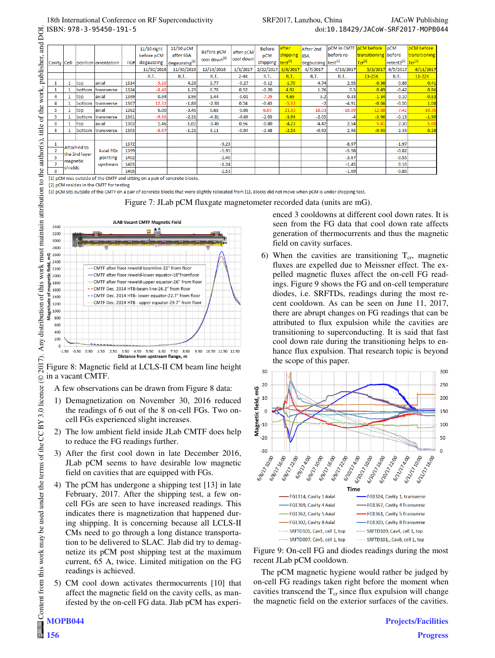|  |                |                     |               |                                  |      | $11/30$ right | 11/30 pCM     | <b>Before pCM</b>        | after pCM | <b>Before</b> | after               | After 2nd                      | pCM in CMTF pCM before |                      | pCM                                       | pCM before    |
|--|----------------|---------------------|---------------|----------------------------------|------|---------------|---------------|--------------------------|-----------|---------------|---------------------|--------------------------------|------------------------|----------------------|-------------------------------------------|---------------|
|  |                |                     |               | Cavity Cell position orientation | FG#  | before pCM    | after 65A     | cool down <sup>[2]</sup> | cool down | pCM           | shipping            | 65A                            | before re-             | transitioning before |                                           | transitioning |
|  |                |                     |               |                                  |      | degaussing    | degaussing[1] |                          |           | shipping      | test <sup>[3]</sup> | degaussing test <sup>[2]</sup> |                        | $Tcr^{[2]}$          | retest2 <sup>[2]</sup> Tcr <sup>[2]</sup> |               |
|  |                |                     |               |                                  |      | 11/30/2016    | 11/30/2016    | 12/14/2016               | 1/3/2017  | 2/22/2017     | 3/6/2017            | 4/7/2017                       | 4/10/2017              | 5/2/2017             | 6/5/2017                                  | 6/11/2017     |
|  |                |                     |               |                                  |      | <b>R.T.</b>   | R.T.          | R.T.                     | $2-4K$    | <b>R.T.</b>   | <b>R.T.</b>         | <b>R.T.</b>                    | <b>R.T.</b>            | $13-25K$             | R.T.                                      | $11-22K$      |
|  |                | 1                   | top           | axial                            | 1314 | $-5.10$       | 4.26          | 2.77                     | $-0.27$   | $-0.12$       | $-1.70$             | 4.74                           | 2.55                   | $-0.36$              | 0.86                                      | 0.41          |
|  |                | 1                   | bottom        | <i><b>Itransverse</b></i>        | 1324 | $-8.40$       | 1.29          | 0.78                     | 0.92      | $-0.20$       | 4.92                | 1.76                           | 0.5                    | 0.49                 | $-0.42$                                   | 0.86          |
|  | 4              |                     | top           | laxial                           | 1369 | 0.94          | 3.96          | 1.44                     | $-0.01$   | $-7.29$       | 4.69                | 3.2                            | 0.33                   | $-1.34$              | 0.10                                      | $-0.83$       |
|  | 4              | 1                   | bottom        | transverse                       | 1367 | 12.32         | $-1.88$       | $-2.83$                  | 0.54      | $-0.43$       | $-5.32$             |                                | $-4.91$                | $-0.66$              | $-0.50$                                   | 1.08          |
|  | 5              |                     | top           | laxial                           | 1362 | 0.00          | $-3.45$       | 0.68                     | $-0.06$   | 6.69          | 21.53               | 18.03                          | $-10.89$               | $-12.88$             | $-7.42$                                   | $-10.36$      |
|  | 5              |                     | bottom        | transverse                       | 1361 | $-9.96$       | $-2.31$       | $-4.81$                  | $-4.69$   | $-2.03$       | $-3.94$             | $-2.05$                        |                        | $-3.96$              | $-0.13$                                   | $-1.90$       |
|  | 8              |                     | top           | axial                            | 1302 | 1.46          | $-1.02$       | $-3.45$                  | 0.56      | $-0.80$       | $-4.23$             | $-4.42$                        | 2.54                   | 5.41                 | 2.30                                      | 5.00          |
|  | 8              |                     |               | bottom transverse                | 1303 | $-8.67$       | $-1.21$       | 3.11                     | $-0.04$   | $-1.48$       | $-2.54$             | $-0.92$                        | 2.94                   | $-0.93$              | 2.33                                      | 0.26          |
|  |                |                     |               |                                  |      |               |               |                          |           |               |                     |                                |                        |                      |                                           |               |
|  |                | Attached to         |               |                                  | 1372 |               |               | $-9.23$                  |           |               |                     |                                | $-8.97$                |                      | $-1.97$                                   |               |
|  | $\overline{2}$ |                     | the 2nd layer | <b>Axial FGs</b><br>pointing     | 1399 |               |               | $-5.95$                  |           |               |                     |                                | $-5.98$                |                      | $-0.82$                                   |               |
|  | 5              |                     |               |                                  | 1402 |               |               | $-2.40$                  |           |               |                     |                                | $-3.67$                |                      | $-0.55$                                   |               |
|  |                | magnetic<br>shields |               | upstream                         | 1403 |               |               | $-1.24$                  |           |               |                     |                                | $-1.45$                |                      | 0.16                                      |               |
|  | 8              |                     |               |                                  | 1405 |               |               | $-2.53$                  |           |               |                     |                                | $-1.69$                |                      | $-0.85$                                   |               |

[1] pCM was outside of the CMTF and sitting on a pair of concrete blocks

[2] pCM resides in the CMTF for testing

DOI.

 $\mathbf{S}$ 

[3] pCM sits outside of the CMTF on a pair of concrete blocks that were slightly relocated from [1]. Blocks did not move when pCM is under shipping test.

Figure 7: JLab pCM fluxgate magnetometer recorded data (units are mG).



Figure 8: Magnetic field at LCLS-II CM beam line height in a vacant CMTF. Content from this work may be used under the terms of the CC BY 3.0 licence ( $@$ Content from this work may be used under the terms of the CC BY 3.0 licence ( $\circ$ )

A few observations can be drawn from Figure 8 data:

- 1) Demagnetization on November 30, 2016 reduced the readings of 6 out of the 8 on-cell FGs. Two oncell FGs experienced slight increases.
- 2) The low ambient field inside JLab CMTF does help to reduce the FG readings further.
- 3) After the first cool down in late December 2016, JLab pCM seems to have desirable low magnetic field on cavities that are equipped with FGs.
- 4) The pCM has undergone a shipping test [13] in late February, 2017. After the shipping test, a few oncell FGs are seen to have increased readings. This indicates there is magnetization that happened during shipping. It is concerning because all LCLS-II CMs need to go through a long distance transportation to be delivered to SLAC. Jlab did try to demagnetize its pCM post shipping test at the maximum current, 65 A, twice. Limited mitigation on the FG readings is achieved.
- 5) CM cool down activates thermocurrents [10] that affect the magnetic field on the cavity cells, as manifested by the on-cell FG data. Jlab pCM has experi-

enced 3 cooldowns at different cool down rates. It is seen from the FG data that cool down rate affects generation of thermocurrents and thus the magnetic field on cavity surfaces.

6) When the cavities are transitioning  $T_{cr}$ , magnetic fluxes are expelled due to Meissner effect. The expelled magnetic fluxes affect the on-cell FG readings. Figure 9 shows the FG and on-cell temperature diodes, i.e. SRFTDs, readings during the most recent cooldown. As can be seen on June 11, 2017, there are abrupt changes on FG readings that can be attributed to flux expulsion while the cavities are transitioning to superconducting. It is said that fast cool down rate during the transitioning helps to enhance flux expulsion. That research topic is beyond the scope of this paper.



Figure 9: On-cell FG and diodes readings during the most recent JLab pCM cooldown.

The pCM magnetic hygiene would rather be judged by on-cell FG readings taken right before the moment when cavities transcend the  $T_{cr}$  since flux expulsion will change the magnetic field on the exterior surfaces of the cavities.